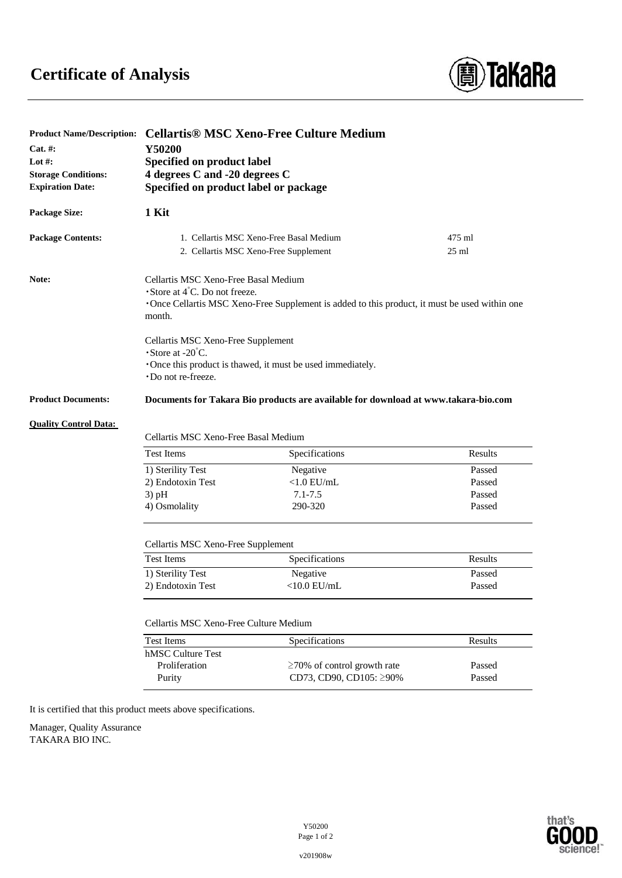## **Certificate of Analysis**



|                              | Product Name/Description: Cellartis® MSC Xeno-Free Culture Medium<br>Y50200<br>Specified on product label<br>4 degrees C and -20 degrees C |                                                                                    |         |
|------------------------------|--------------------------------------------------------------------------------------------------------------------------------------------|------------------------------------------------------------------------------------|---------|
| $Cat. \#:$                   |                                                                                                                                            |                                                                                    |         |
| Lot $#$ :                    |                                                                                                                                            |                                                                                    |         |
| <b>Storage Conditions:</b>   |                                                                                                                                            |                                                                                    |         |
| <b>Expiration Date:</b>      | Specified on product label or package                                                                                                      |                                                                                    |         |
|                              |                                                                                                                                            |                                                                                    |         |
| <b>Package Size:</b>         | 1 Kit                                                                                                                                      |                                                                                    |         |
| <b>Package Contents:</b>     | 1. Cellartis MSC Xeno-Free Basal Medium                                                                                                    |                                                                                    | 475 ml  |
|                              |                                                                                                                                            | 2. Cellartis MSC Xeno-Free Supplement                                              | $25$ ml |
| Note:                        | Cellartis MSC Xeno-Free Basal Medium                                                                                                       |                                                                                    |         |
|                              | $\cdot$ Store at 4 $\degree$ C. Do not freeze.                                                                                             |                                                                                    |         |
|                              | Once Cellartis MSC Xeno-Free Supplement is added to this product, it must be used within one<br>month.                                     |                                                                                    |         |
|                              | Cellartis MSC Xeno-Free Supplement                                                                                                         |                                                                                    |         |
|                              | $\cdot$ Store at -20 $\degree$ C.<br>·Once this product is thawed, it must be used immediately.                                            |                                                                                    |         |
|                              |                                                                                                                                            |                                                                                    |         |
|                              | ·Do not re-freeze.                                                                                                                         |                                                                                    |         |
| <b>Product Documents:</b>    |                                                                                                                                            | Documents for Takara Bio products are available for download at www.takara-bio.com |         |
| <b>Quality Control Data:</b> |                                                                                                                                            |                                                                                    |         |
|                              | Cellartis MSC Xeno-Free Basal Medium                                                                                                       |                                                                                    |         |
|                              |                                                                                                                                            |                                                                                    |         |
|                              | <b>Test Items</b>                                                                                                                          | Specifications                                                                     | Results |
|                              | 1) Sterility Test                                                                                                                          | Negative                                                                           | Passed  |
|                              | 2) Endotoxin Test                                                                                                                          | $<$ 1.0 EU/mL                                                                      | Passed  |
|                              | $3)$ pH                                                                                                                                    | $7.1 - 7.5$                                                                        | Passed  |
|                              | 4) Osmolality                                                                                                                              | 290-320                                                                            | Passed  |
|                              |                                                                                                                                            |                                                                                    |         |
|                              | Cellartis MSC Xeno-Free Supplement                                                                                                         |                                                                                    |         |
|                              | <b>Test Items</b>                                                                                                                          | Specifications                                                                     | Results |
|                              | 1) Sterility Test                                                                                                                          | Negative                                                                           | Passed  |
|                              | 2) Endotoxin Test                                                                                                                          | $<$ 10.0 EU/mL                                                                     | Passed  |
|                              |                                                                                                                                            |                                                                                    |         |
|                              | Cellartis MSC Xeno-Free Culture Medium                                                                                                     |                                                                                    |         |
|                              | <b>Test Items</b>                                                                                                                          | Specifications                                                                     | Results |
|                              | hMSC Culture Test                                                                                                                          |                                                                                    |         |
|                              | Proliferation                                                                                                                              | $\geq$ 70% of control growth rate                                                  | Passed  |
|                              | Purity                                                                                                                                     | CD73, CD90, CD105: ≥90%                                                            | Passed  |

It is certified that this product meets above specifications.

Manager, Quality Assurance TAKARA BIO INC.